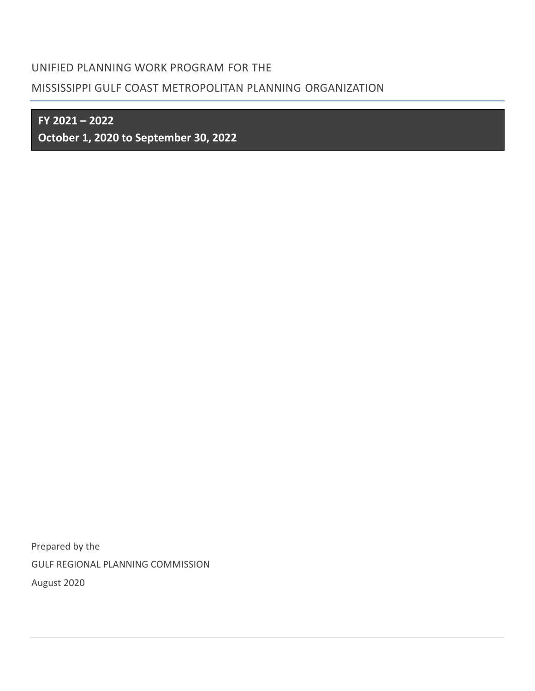## UNIFIED PLANNING WORK PROGRAM FOR THE

# MISSISSIPPI GULF COAST METROPOLITAN PLANNING ORGANIZATION

**FY 2021 – 2022**

**October 1, 2020 to September 30, 2022**

Prepared by the GULF REGIONAL PLANNING COMMISSION August 2020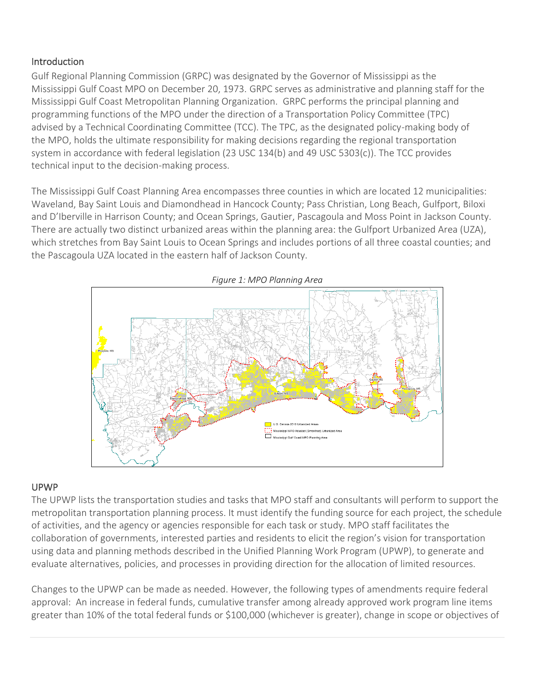## **Introduction**

Gulf Regional Planning Commission (GRPC) was designated by the Governor of Mississippi as the Mississippi Gulf Coast MPO on December 20, 1973. GRPC serves as administrative and planning staff for the Mississippi Gulf Coast Metropolitan Planning Organization. GRPC performs the principal planning and programming functions of the MPO under the direction of a Transportation Policy Committee (TPC) advised by a Technical Coordinating Committee (TCC). The TPC, as the designated policy-making body of the MPO, holds the ultimate responsibility for making decisions regarding the regional transportation system in accordance with federal legislation (23 USC 134(b) and 49 USC 5303(c)). The TCC provides technical input to the decision-making process.

The Mississippi Gulf Coast Planning Area encompasses three counties in which are located 12 municipalities: Waveland, Bay Saint Louis and Diamondhead in Hancock County; Pass Christian, Long Beach, Gulfport, Biloxi and D'Iberville in Harrison County; and Ocean Springs, Gautier, Pascagoula and Moss Point in Jackson County. There are actually two distinct urbanized areas within the planning area: the Gulfport Urbanized Area (UZA), which stretches from Bay Saint Louis to Ocean Springs and includes portions of all three coastal counties; and the Pascagoula UZA located in the eastern half of Jackson County.



### UPWP

The UPWP lists the transportation studies and tasks that MPO staff and consultants will perform to support the metropolitan transportation planning process. It must identify the funding source for each project, the schedule of activities, and the agency or agencies responsible for each task or study. MPO staff facilitates the collaboration of governments, interested parties and residents to elicit the region's vision for transportation using data and planning methods described in the Unified Planning Work Program (UPWP), to generate and evaluate alternatives, policies, and processes in providing direction for the allocation of limited resources.

Changes to the UPWP can be made as needed. However, the following types of amendments require federal approval: An increase in federal funds, cumulative transfer among already approved work program line items greater than 10% of the total federal funds or \$100,000 (whichever is greater), change in scope or objectives of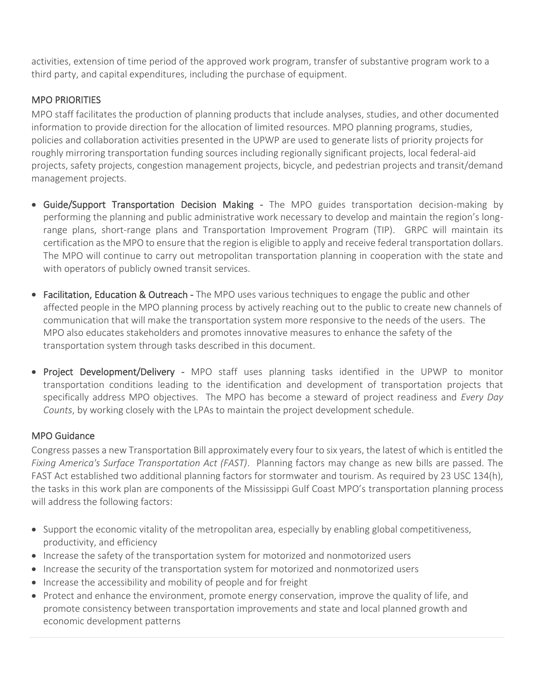activities, extension of time period of the approved work program, transfer of substantive program work to a third party, and capital expenditures, including the purchase of equipment.

## MPO PRIORITIES

MPO staff facilitates the production of planning products that include analyses, studies, and other documented information to provide direction for the allocation of limited resources. MPO planning programs, studies, policies and collaboration activities presented in the UPWP are used to generate lists of priority projects for roughly mirroring transportation funding sources including regionally significant projects, local federal-aid projects, safety projects, congestion management projects, bicycle, and pedestrian projects and transit/demand management projects.

- Guide/Support Transportation Decision Making The MPO guides transportation decision-making by performing the planning and public administrative work necessary to develop and maintain the region's longrange plans, short-range plans and Transportation Improvement Program (TIP). GRPC will maintain its certification as the MPO to ensure that the region is eligible to apply and receive federal transportation dollars. The MPO will continue to carry out metropolitan transportation planning in cooperation with the state and with operators of publicly owned transit services.
- Facilitation, Education & Outreach The MPO uses various techniques to engage the public and other affected people in the MPO planning process by actively reaching out to the public to create new channels of communication that will make the transportation system more responsive to the needs of the users. The MPO also educates stakeholders and promotes innovative measures to enhance the safety of the transportation system through tasks described in this document.
- Project Development/Delivery MPO staff uses planning tasks identified in the UPWP to monitor transportation conditions leading to the identification and development of transportation projects that specifically address MPO objectives. The MPO has become a steward of project readiness and *Every Day Counts*, by working closely with the LPAs to maintain the project development schedule.

## MPO Guidance

Congress passes a new Transportation Bill approximately every four to six years, the latest of which is entitled the *Fixing America's Surface Transportation Act (FAST)*. Planning factors may change as new bills are passed. The FAST Act established two additional planning factors for stormwater and tourism. As required by 23 USC 134(h), the tasks in this work plan are components of the Mississippi Gulf Coast MPO's transportation planning process will address the following factors:

- Support the economic vitality of the metropolitan area, especially by enabling global competitiveness, productivity, and efficiency
- Increase the safety of the transportation system for motorized and nonmotorized users
- Increase the security of the transportation system for motorized and nonmotorized users
- Increase the accessibility and mobility of people and for freight
- Protect and enhance the environment, promote energy conservation, improve the quality of life, and promote consistency between transportation improvements and state and local planned growth and economic development patterns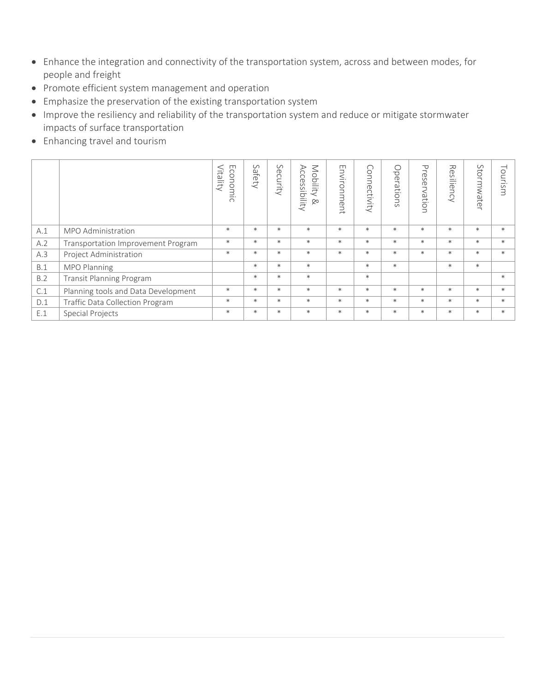- Enhance the integration and connectivity of the transportation system, across and between modes, for people and freight
- Promote efficient system management and operation
- Emphasize the preservation of the existing transportation system
- Improve the resiliency and reliability of the transportation system and reduce or mitigate stormwater impacts of surface transportation
- Enhancing travel and tourism

|            |                                           | $\Box$<br>conomic<br>/itality | $\circ$<br>afe<br>Ž | Security | $\leq$<br>$\triangleright$<br>ĊC<br>pilit<br><b>GS</b><br>≌.<br>$\,<\,$<br>ibility<br>$\infty$ | $\Box$<br>nvironment | Connectivity | $\circ$<br>perations | $\mathbf \nabla$<br>$\overline{\phantom{0}}$<br>$\sigma$<br>$\Omega$<br>$\sigma$<br>∸<br><<br>은.<br>$\overline{5}$ | ᅎ<br>$\sigma$<br>S<br>≐<br>— .<br>$\sigma$<br>コ<br>$\bigcap$ | Stormwate<br>$\overline{\phantom{a}}$ | ⊣<br>$\circ$<br>$\Xi$ .<br>Sm |
|------------|-------------------------------------------|-------------------------------|---------------------|----------|------------------------------------------------------------------------------------------------|----------------------|--------------|----------------------|--------------------------------------------------------------------------------------------------------------------|--------------------------------------------------------------|---------------------------------------|-------------------------------|
| A.1        | MPO Administration                        | $\ast$                        | $\ast$              | $\ast$   | $\ast$                                                                                         | $\ast$               | $\ast$       | $\ast$               | $\ast$                                                                                                             | $\ast$                                                       | $\ast$                                | $\ast$                        |
| A.2        | <b>Transportation Improvement Program</b> | $\ast$                        | $\ast$              | $\ast$   | $\ast$                                                                                         | $\ast$               | $\ast$       | $\ast$               | $\ast$                                                                                                             | $\ast$                                                       | $\ast$                                | $\ast$                        |
| A.3        | Project Administration                    | $\ast$                        | $\ast$              | $\ast$   | $\ast$                                                                                         | $\ast$               | $\ast$       | $\ast$               | $\ast$                                                                                                             | $\ast$                                                       | $\ast$                                | $\ast$                        |
| B.1        | MPO Planning                              |                               | $\ast$              | $\ast$   | $\ast$                                                                                         |                      | $\ast$       | $\ast$               |                                                                                                                    | $\ast$                                                       | $\ast$                                |                               |
| <b>B.2</b> | <b>Transit Planning Program</b>           |                               | $\ast$              | $\ast$   | $\ast$                                                                                         |                      | $\ast$       |                      |                                                                                                                    |                                                              |                                       | $\ast$                        |
| C.1        | Planning tools and Data Development       | $\ast$                        | $\ast$              | $\ast$   | $\ast$                                                                                         | $\ast$               | $\ast$       | $\ast$               | $\ast$                                                                                                             | $\ast$                                                       | $\ast$                                | $\ast$                        |
| D.1        | Traffic Data Collection Program           | $\ast$                        | $\ast$              | $\ast$   | $\ast$                                                                                         | $\ast$               | $\ast$       | $\ast$               | $\ast$                                                                                                             | $\ast$                                                       | $\ast$                                | $\ast$                        |
| E.1        | <b>Special Projects</b>                   | $\ast$                        | $\ast$              | $\ast$   | $\ast$                                                                                         | $\ast$               | $\ast$       | $\ast$               | $\ast$                                                                                                             | $\ast$                                                       | $\ast$                                | $\ast$                        |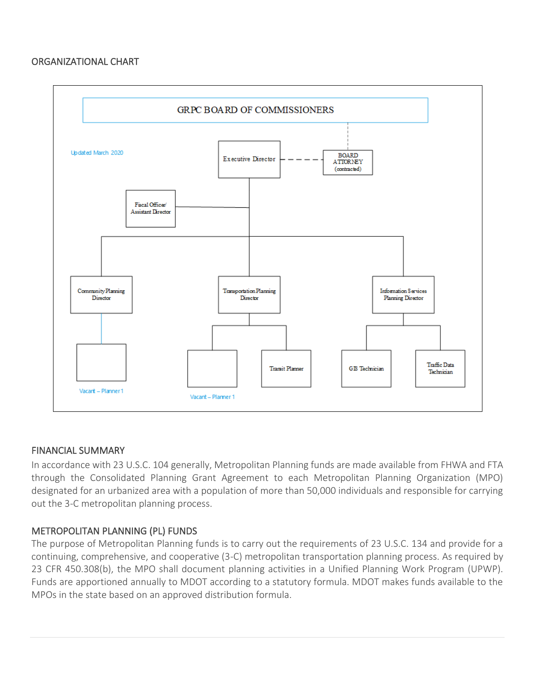#### ORGANIZATIONAL CHART



#### FINANCIAL SUMMARY

In accordance with 23 U.S.C. 104 generally, Metropolitan Planning funds are made available from FHWA and FTA through the Consolidated Planning Grant Agreement to each Metropolitan Planning Organization (MPO) designated for an urbanized area with a population of more than 50,000 individuals and responsible for carrying out the 3-C metropolitan planning process.

#### METROPOLITAN PLANNING (PL) FUNDS

The purpose of Metropolitan Planning funds is to carry out the requirements of 23 U.S.C. 134 and provide for a continuing, comprehensive, and cooperative (3-C) metropolitan transportation planning process. As required by 23 CFR 450.308(b), the MPO shall document planning activities in a Unified Planning Work Program (UPWP). Funds are apportioned annually to MDOT according to a statutory formula. MDOT makes funds available to the MPOs in the state based on an approved distribution formula.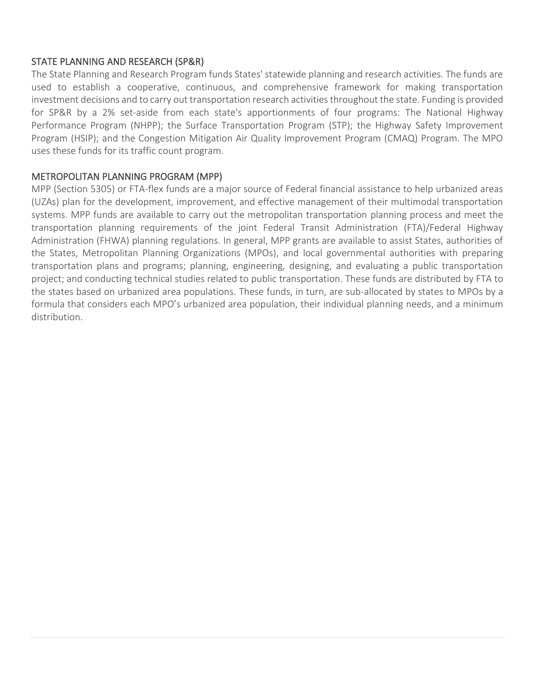### STATE PLANNING AND RESEARCH (SP&R)

The State Planning and Research Program funds States' statewide planning and research activities. The funds are used to establish a cooperative, continuous, and comprehensive framework for making transportation investment decisions and to carry out transportation research activities throughout the state. Funding is provided for SP&R by a 2% set-aside from each state's apportionments of four programs: The National Highway Performance Program (NHPP); the Surface Transportation Program (STP); the Highway Safety Improvement Program (HSIP); and the Congestion Mitigation Air Quality Improvement Program (CMAQ) Program. The MPO uses these funds for its traffic count program.

## METROPOLITAN PLANNING PROGRAM (MPP)

MPP (Section 5305) or FTA-flex funds are a major source of Federal financial assistance to help urbanized areas (UZAs) plan for the development, improvement, and effective management of their multimodal transportation systems. MPP funds are available to carry out the metropolitan transportation planning process and meet the transportation planning requirements of the joint Federal Transit Administration (FTA)/Federal Highway Administration (FHWA) planning regulations. In general, MPP grants are available to assist States, authorities of the States, Metropolitan Planning Organizations (MPOs), and local governmental authorities with preparing transportation plans and programs; planning, engineering, designing, and evaluating a public transportation project; and conducting technical studies related to public transportation. These funds are distributed by FTA to the states based on urbanized area populations. These funds, in turn, are sub-allocated by states to MPOs by a formula that considers each MPO's urbanized area population, their individual planning needs, and a minimum distribution.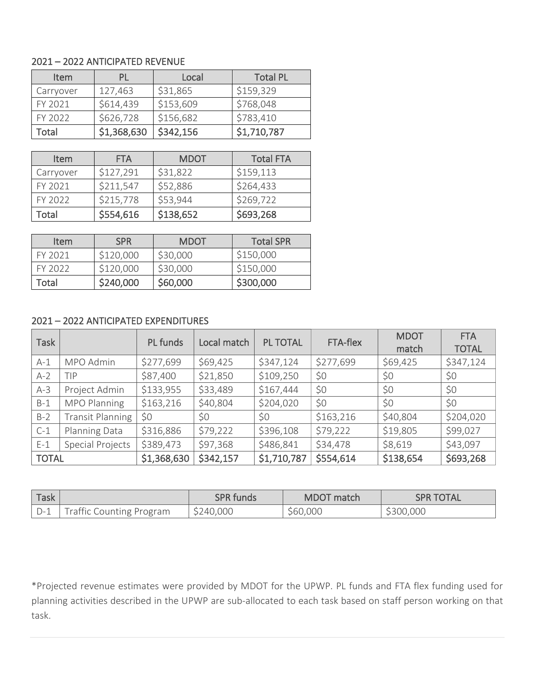#### 2021 – 2022 ANTICIPATED REVENUE

| <b>Item</b> | PL          | Local     | <b>Total PL</b> |
|-------------|-------------|-----------|-----------------|
| Carryover   | 127,463     | \$31,865  | \$159,329       |
| FY 2021     | \$614,439   | \$153,609 | \$768,048       |
| FY 2022     | \$626,728   | \$156,682 | \$783,410       |
| Total       | \$1,368,630 | \$342,156 | \$1,710,787     |

| <b>Item</b> | <b>FTA</b> | <b>MDOT</b> | <b>Total FTA</b> |
|-------------|------------|-------------|------------------|
| Carryover   | \$127,291  | \$31,822    | \$159,113        |
| FY 2021     | \$211,547  | \$52,886    | \$264,433        |
| FY 2022     | \$215,778  | \$53,944    | \$269,722        |
| Total       | \$554,616  | \$138,652   | \$693,268        |

| <b>Item</b> | <b>SPR</b> | <b>MDOT</b> | <b>Total SPR</b> |
|-------------|------------|-------------|------------------|
| FY 2021     | \$120,000  | \$30,000    | \$150,000        |
| FY 2022     | \$120,000  | \$30,000    | \$150,000        |
| Total       | \$240,000  | \$60,000    | \$300,000        |

### 2021 – 2022 ANTICIPATED EXPENDITURES

| <b>Task</b>  |                         | <b>PL</b> funds | Local match | <b>PL TOTAL</b> | FTA-flex  | <b>MDOT</b><br>match | <b>FTA</b><br><b>TOTAL</b> |
|--------------|-------------------------|-----------------|-------------|-----------------|-----------|----------------------|----------------------------|
| $A-1$        | MPO Admin               | \$277,699       | \$69,425    | \$347,124       | \$277,699 | \$69,425             | \$347,124                  |
| $A-2$        | TIP                     | \$87,400        | \$21,850    | \$109,250       | \$0       | \$0                  | \$0                        |
| $A-3$        | Project Admin           | \$133,955       | \$33,489    | \$167,444       | \$0       | \$0                  | \$0                        |
| $B-1$        | MPO Planning            | \$163,216       | \$40,804    | \$204,020       | \$0       | \$0                  | \$0                        |
| $B-2$        | <b>Transit Planning</b> | \$0             | \$0         | \$0             | \$163,216 | \$40,804             | \$204,020                  |
| $C-1$        | Planning Data           | \$316,886       | \$79,222    | \$396,108       | \$79,222  | \$19,805             | \$99,027                   |
| $E-1$        | <b>Special Projects</b> | \$389,473       | \$97,368    | \$486,841       | \$34,478  | \$8,619              | \$43,097                   |
| <b>TOTAL</b> |                         | \$1,368,630     | \$342,157   | \$1,710,787     | \$554,614 | \$138,654            | \$693,268                  |

| Task |                                 | <b>SPR funds</b> | <b>MDOT</b> match | <b>SPR TOTAL</b> |
|------|---------------------------------|------------------|-------------------|------------------|
|      | <b>Traffic Counting Program</b> | \$240,000        | \$60,000          | \$300,000        |

\*Projected revenue estimates were provided by MDOT for the UPWP. PL funds and FTA flex funding used for planning activities described in the UPWP are sub-allocated to each task based on staff person working on that task.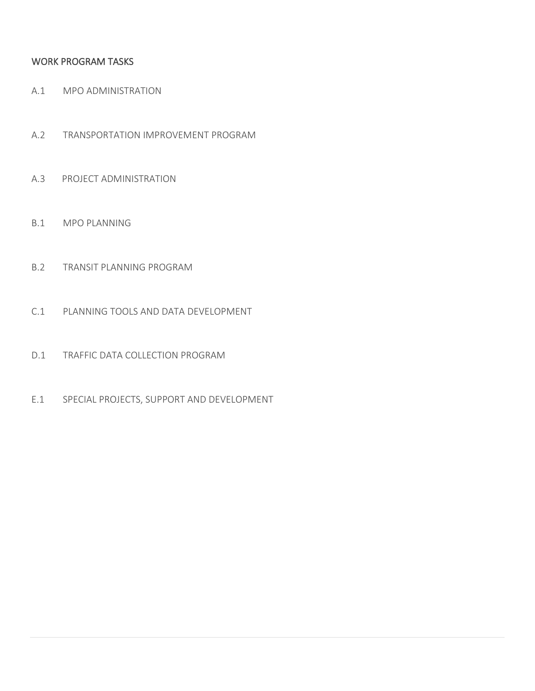### WORK PROGRAM TASKS

- A.1 MPO ADMINISTRATION
- A.2 TRANSPORTATION IMPROVEMENT PROGRAM
- A.3 PROJECT ADMINISTRATION
- B.1 MPO PLANNING
- B.2 TRANSIT PLANNING PROGRAM
- C.1 PLANNING TOOLS AND DATA DEVELOPMENT
- D.1 TRAFFIC DATA COLLECTION PROGRAM
- E.1 SPECIAL PROJECTS, SUPPORT AND DEVELOPMENT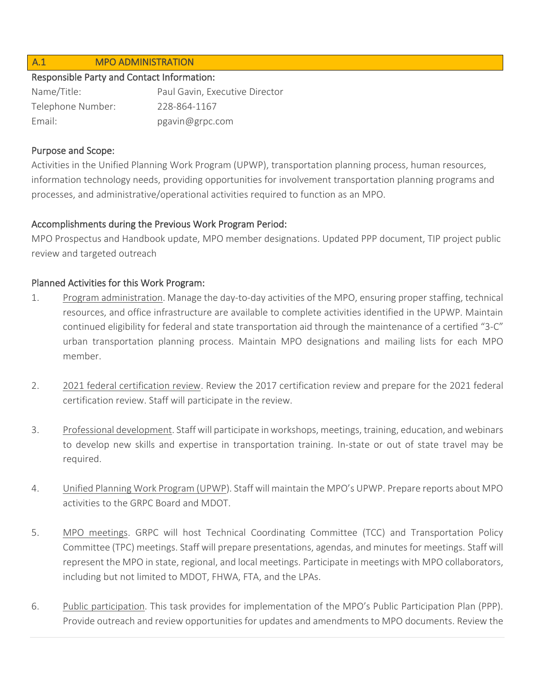#### A.1 MPO ADMINISTRATION

#### Responsible Party and Contact Information:

| Name/Title:       | Paul Gavin, Executive Director |
|-------------------|--------------------------------|
| Telephone Number: | 228-864-1167                   |
| Fmail:            | pgavin@grpc.com                |

#### Purpose and Scope:

Activities in the Unified Planning Work Program (UPWP), transportation planning process, human resources, information technology needs, providing opportunities for involvement transportation planning programs and processes, and administrative/operational activities required to function as an MPO.

### Accomplishments during the Previous Work Program Period:

MPO Prospectus and Handbook update, MPO member designations. Updated PPP document, TIP project public review and targeted outreach

## Planned Activities for this Work Program:

- 1. Program administration. Manage the day-to-day activities of the MPO, ensuring proper staffing, technical resources, and office infrastructure are available to complete activities identified in the UPWP. Maintain continued eligibility for federal and state transportation aid through the maintenance of a certified "3-C" urban transportation planning process. Maintain MPO designations and mailing lists for each MPO member.
- 2. 2021 federal certification review. Review the 2017 certification review and prepare for the 2021 federal certification review. Staff will participate in the review.
- 3. Professional development. Staff will participate in workshops, meetings, training, education, and webinars to develop new skills and expertise in transportation training. In-state or out of state travel may be required.
- 4. Unified Planning Work Program (UPWP). Staff will maintain the MPO's UPWP. Prepare reports about MPO activities to the GRPC Board and MDOT.
- 5. MPO meetings. GRPC will host Technical Coordinating Committee (TCC) and Transportation Policy Committee (TPC) meetings. Staff will prepare presentations, agendas, and minutes for meetings. Staff will represent the MPO in state, regional, and local meetings. Participate in meetings with MPO collaborators, including but not limited to MDOT, FHWA, FTA, and the LPAs.
- 6. Public participation. This task provides for implementation of the MPO's Public Participation Plan (PPP). Provide outreach and review opportunities for updates and amendments to MPO documents. Review the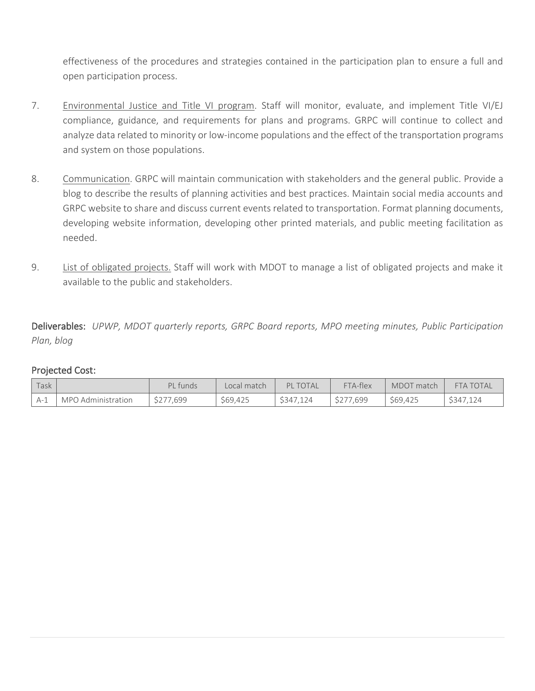effectiveness of the procedures and strategies contained in the participation plan to ensure a full and open participation process.

- 7. Environmental Justice and Title VI program. Staff will monitor, evaluate, and implement Title VI/EJ compliance, guidance, and requirements for plans and programs. GRPC will continue to collect and analyze data related to minority or low-income populations and the effect of the transportation programs and system on those populations.
- 8. Communication. GRPC will maintain communication with stakeholders and the general public. Provide a blog to describe the results of planning activities and best practices. Maintain social media accounts and GRPC website to share and discuss current events related to transportation. Format planning documents, developing website information, developing other printed materials, and public meeting facilitation as needed.
- 9. List of obligated projects. Staff will work with MDOT to manage a list of obligated projects and make it available to the public and stakeholders.

Deliverables: *UPWP, MDOT quarterly reports, GRPC Board reports, MPO meeting minutes, Public Participation Plan, blog* 

| Task |                    | PL funds  | Local match | <b>PL TOTAL</b> | FTA-flex  | MDOT match | <b>FTA TOTAL</b> |
|------|--------------------|-----------|-------------|-----------------|-----------|------------|------------------|
| A-1  | MPO Administration | \$277,699 | \$69,425    | \$347.124       | \$277.699 | \$69,425   | \$347.124        |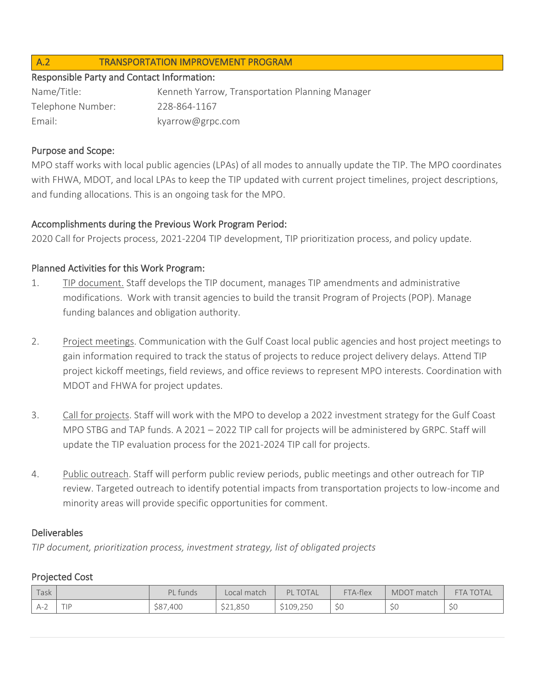### A.2 TRANSPORTATION IMPROVEMENT PROGRAM

#### Responsible Party and Contact Information:

| Name/Title:       | Kenneth Yarrow, Transportation Planning Manager |
|-------------------|-------------------------------------------------|
| Telephone Number: | 228-864-1167                                    |
| Email:            | kyarrow@grpc.com                                |

### Purpose and Scope:

MPO staff works with local public agencies (LPAs) of all modes to annually update the TIP. The MPO coordinates with FHWA, MDOT, and local LPAs to keep the TIP updated with current project timelines, project descriptions, and funding allocations. This is an ongoing task for the MPO.

### Accomplishments during the Previous Work Program Period:

2020 Call for Projects process, 2021-2204 TIP development, TIP prioritization process, and policy update.

## Planned Activities for this Work Program:

- 1. TIP document. Staff develops the TIP document, manages TIP amendments and administrative modifications. Work with transit agencies to build the transit Program of Projects (POP). Manage funding balances and obligation authority.
- 2. Project meetings. Communication with the Gulf Coast local public agencies and host project meetings to gain information required to track the status of projects to reduce project delivery delays. Attend TIP project kickoff meetings, field reviews, and office reviews to represent MPO interests. Coordination with MDOT and FHWA for project updates.
- 3. Call for projects. Staff will work with the MPO to develop a 2022 investment strategy for the Gulf Coast MPO STBG and TAP funds. A 2021 – 2022 TIP call for projects will be administered by GRPC. Staff will update the TIP evaluation process for the 2021-2024 TIP call for projects.
- 4. Public outreach. Staff will perform public review periods, public meetings and other outreach for TIP review. Targeted outreach to identify potential impacts from transportation projects to low-income and minority areas will provide specific opportunities for comment.

### Deliverables

*TIP document, prioritization process, investment strategy, list of obligated projects*

| l Task | PL funds | Local match | PI<br><b>TOTAL</b> | FTA-flex            | MDOT match | <b>FTA TOTAL</b>    |
|--------|----------|-------------|--------------------|---------------------|------------|---------------------|
| A-2    | \$87,400 | \$21,850    | \$109,250          | $\sim$ $\sim$<br>JU | 5U         | $\sim$ $\sim$<br>ッつ |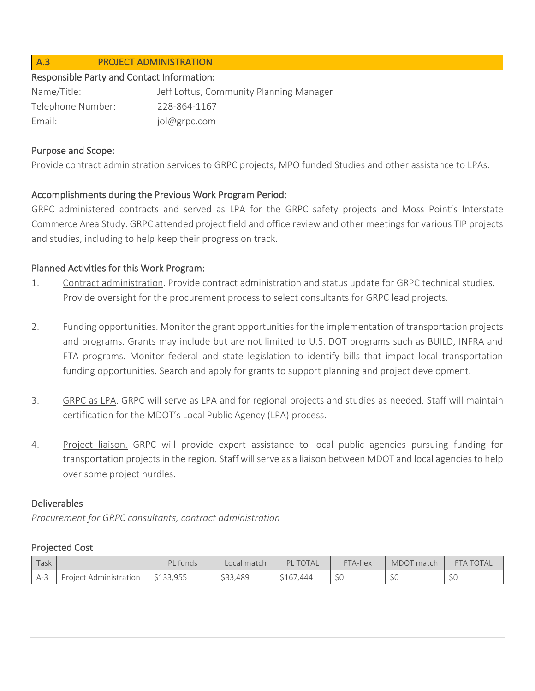### A.3 PROJECT ADMINISTRATION

#### Responsible Party and Contact Information:

| Name/Title:       | Jeff Loftus, Community Planning Manager |
|-------------------|-----------------------------------------|
| Telephone Number: | 228-864-1167                            |
| Email:            | jol@grpc.com                            |

#### Purpose and Scope:

Provide contract administration services to GRPC projects, MPO funded Studies and other assistance to LPAs.

#### Accomplishments during the Previous Work Program Period:

GRPC administered contracts and served as LPA for the GRPC safety projects and Moss Point's Interstate Commerce Area Study. GRPC attended project field and office review and other meetings for various TIP projects and studies, including to help keep their progress on track.

#### Planned Activities for this Work Program:

- 1. Contract administration. Provide contract administration and status update for GRPC technical studies. Provide oversight for the procurement process to select consultants for GRPC lead projects.
- 2. Funding opportunities. Monitor the grant opportunities for the implementation of transportation projects and programs. Grants may include but are not limited to U.S. DOT programs such as BUILD, INFRA and FTA programs. Monitor federal and state legislation to identify bills that impact local transportation funding opportunities. Search and apply for grants to support planning and project development.
- 3. GRPC as LPA. GRPC will serve as LPA and for regional projects and studies as needed. Staff will maintain certification for the MDOT's Local Public Agency (LPA) process.
- 4. Project liaison. GRPC will provide expert assistance to local public agencies pursuing funding for transportation projects in the region. Staff will serve as a liaison between MDOT and local agencies to help over some project hurdles.

#### Deliverables

*Procurement for GRPC consultants, contract administration*

| Task  |                        | PL funds  | Local match | <b>PL TOTAL</b> | FTA-flex           | MDOT match | <b>FTA TOTAL</b> |
|-------|------------------------|-----------|-------------|-----------------|--------------------|------------|------------------|
| $A-3$ | Project Administration | \$133,955 | \$33,489    | \$167,444       | $\sim$ $\sim$<br>◡ | ЭL         | $\sim$<br>ッつ     |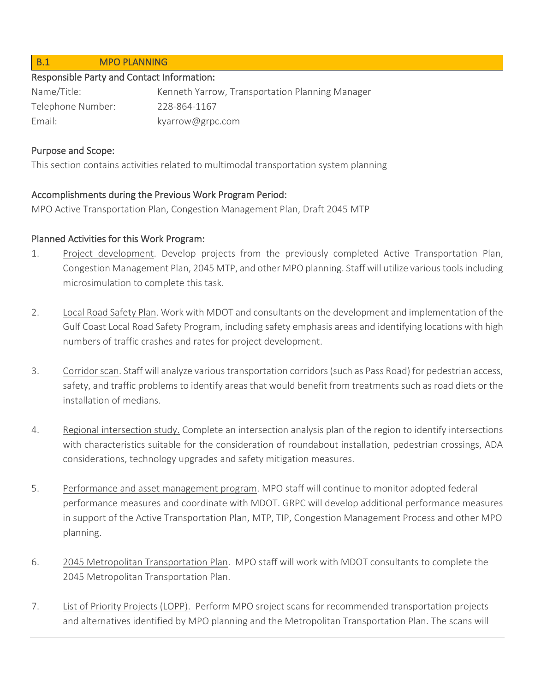#### B.1 MPO PLANNING

#### Responsible Party and Contact Information:

| Name/Title:       | Kenneth Yarrow, Transportation Planning Manager |
|-------------------|-------------------------------------------------|
| Telephone Number: | 228-864-1167                                    |
| Email:            | kyarrow@grpc.com                                |

#### Purpose and Scope:

This section contains activities related to multimodal transportation system planning

### Accomplishments during the Previous Work Program Period:

MPO Active Transportation Plan, Congestion Management Plan, Draft 2045 MTP

### Planned Activities for this Work Program:

- 1. Project development. Develop projects from the previously completed Active Transportation Plan, Congestion Management Plan, 2045 MTP, and other MPO planning. Staff will utilize various tools including microsimulation to complete this task.
- 2. Local Road Safety Plan. Work with MDOT and consultants on the development and implementation of the Gulf Coast Local Road Safety Program, including safety emphasis areas and identifying locations with high numbers of traffic crashes and rates for project development.
- 3. Corridor scan. Staff will analyze various transportation corridors (such as Pass Road) for pedestrian access, safety, and traffic problems to identify areas that would benefit from treatments such as road diets or the installation of medians.
- 4. Regional intersection study. Complete an intersection analysis plan of the region to identify intersections with characteristics suitable for the consideration of roundabout installation, pedestrian crossings, ADA considerations, technology upgrades and safety mitigation measures.
- 5. Performance and asset management program. MPO staff will continue to monitor adopted federal performance measures and coordinate with MDOT. GRPC will develop additional performance measures in support of the Active Transportation Plan, MTP, TIP, Congestion Management Process and other MPO planning.
- 6. 2045 Metropolitan Transportation Plan. MPO staff will work with MDOT consultants to complete the 2045 Metropolitan Transportation Plan.
- 7. List of Priority Projects (LOPP). Perform MPO sroject scans for recommended transportation projects and alternatives identified by MPO planning and the Metropolitan Transportation Plan. The scans will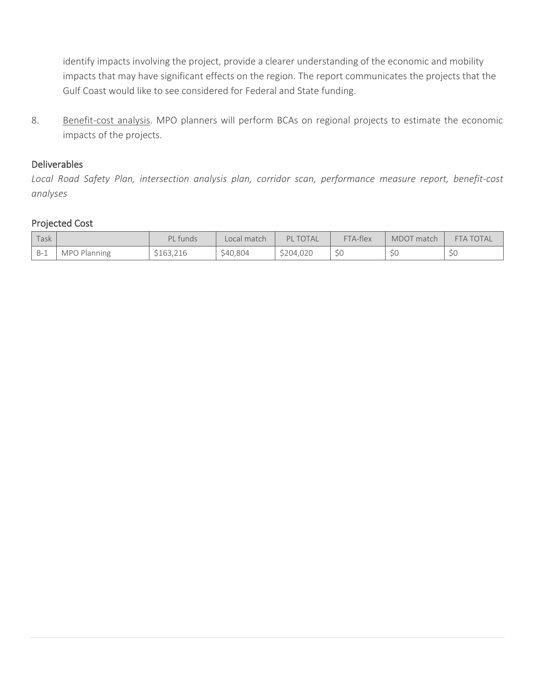identify impacts involving the project, provide a clearer understanding of the economic and mobility impacts that may have significant effects on the region. The report communicates the projects that the Gulf Coast would like to see considered for Federal and State funding.

8. Benefit-cost analysis. MPO planners will perform BCAs on regional projects to estimate the economic impacts of the projects.

#### Deliverables

*Local Road Safety Plan, intersection analysis plan, corridor scan, performance measure report, benefit-cost analyses*

| Task  |                     | PL funds  | Local match | <b>PL TOTAL</b> | FTA-flex | MDOT match | <b>FTA TOTAL</b>    |
|-------|---------------------|-----------|-------------|-----------------|----------|------------|---------------------|
| $B-1$ | <b>MPO Planning</b> | \$163,216 | \$40,804    | \$204,020       | S0       | ЭU         | $\sim$ $\sim$<br>5U |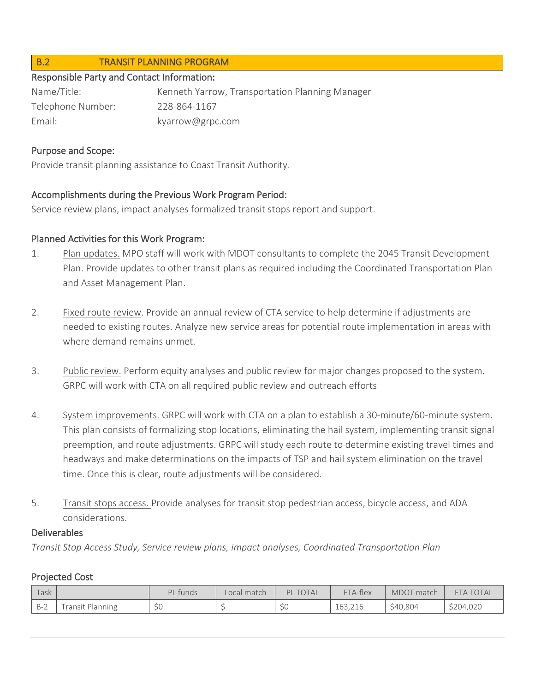### B.2 TRANSIT PLANNING PROGRAM

#### Responsible Party and Contact Information:

Name/Title: Kenneth Yarrow, Transportation Planning Manager Telephone Number: 228-864-1167 Email: kyarrow@grpc.com

#### Purpose and Scope:

Provide transit planning assistance to Coast Transit Authority.

### Accomplishments during the Previous Work Program Period:

Service review plans, impact analyses formalized transit stops report and support.

#### Planned Activities for this Work Program:

- 1. Plan updates. MPO staff will work with MDOT consultants to complete the 2045 Transit Development Plan. Provide updates to other transit plans as required including the Coordinated Transportation Plan and Asset Management Plan.
- 2. Fixed route review. Provide an annual review of CTA service to help determine if adjustments are needed to existing routes. Analyze new service areas for potential route implementation in areas with where demand remains unmet.
- 3. Public review. Perform equity analyses and public review for major changes proposed to the system. GRPC will work with CTA on all required public review and outreach efforts
- 4. System improvements. GRPC will work with CTA on a plan to establish a 30-minute/60-minute system. This plan consists of formalizing stop locations, eliminating the hail system, implementing transit signal preemption, and route adjustments. GRPC will study each route to determine existing travel times and headways and make determinations on the impacts of TSP and hail system elimination on the travel time. Once this is clear, route adjustments will be considered.
- 5. Transit stops access. Provide analyses for transit stop pedestrian access, bicycle access, and ADA considerations.

#### Deliverables

*Transit Stop Access Study, Service review plans, impact analyses, Coordinated Transportation Plan*

| Task  |                  | PL funds | Local match | <b>PL TOTAL</b>       | FTA-flex | MDOT match | <b>FTA TOTAL</b> |
|-------|------------------|----------|-------------|-----------------------|----------|------------|------------------|
| $B-2$ | Fransit Planning | \$0      |             | $\sim$ $\sim$<br>- SL | 163.216  | \$40,804   | \$204,020        |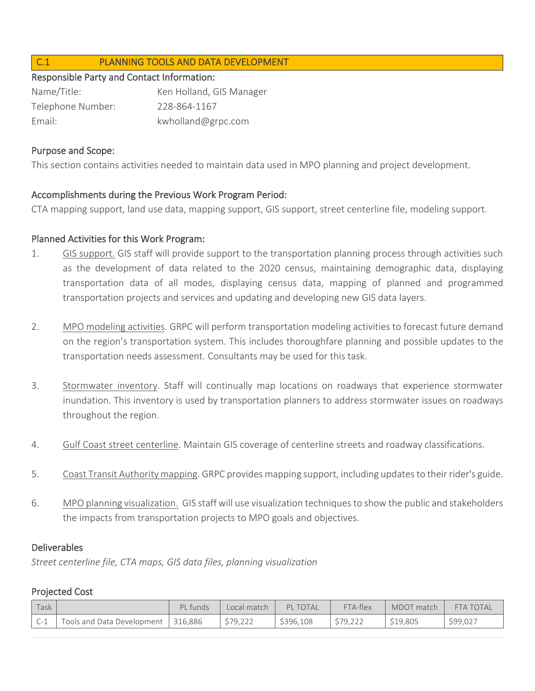### C.1 PLANNING TOOLS AND DATA DEVELOPMENT

#### Responsible Party and Contact Information:

| Name/Title:       | Ken Holland, GIS Manager |
|-------------------|--------------------------|
| Telephone Number: | 228-864-1167             |
| Email:            | kwholland@grpc.com       |

#### Purpose and Scope:

This section contains activities needed to maintain data used in MPO planning and project development.

#### Accomplishments during the Previous Work Program Period:

CTA mapping support, land use data, mapping support, GIS support, street centerline file, modeling support.

#### Planned Activities for this Work Program:

- 1. GIS support. GIS staff will provide support to the transportation planning process through activities such as the development of data related to the 2020 census, maintaining demographic data, displaying transportation data of all modes, displaying census data, mapping of planned and programmed transportation projects and services and updating and developing new GIS data layers.
- 2. MPO modeling activities. GRPC will perform transportation modeling activities to forecast future demand on the region's transportation system. This includes thoroughfare planning and possible updates to the transportation needs assessment. Consultants may be used for this task.
- 3. Stormwater inventory. Staff will continually map locations on roadways that experience stormwater inundation. This inventory is used by transportation planners to address stormwater issues on roadways throughout the region.
- 4. Gulf Coast street centerline. Maintain GIS coverage of centerline streets and roadway classifications.
- 5. Coast Transit Authority mapping. GRPC provides mapping support, including updates to their rider's guide.
- 6. MPO planning visualization. GIS staff will use visualization techniques to show the public and stakeholders the impacts from transportation projects to MPO goals and objectives.

#### Deliverables

*Street centerline file, CTA maps, GIS data files, planning visualization*

| Task                  |                            | PI<br>. funds | Local match | PI<br><b>TOTAL</b> | FTA-flex | MDOT match | <b>FTA TOTAL</b> |
|-----------------------|----------------------------|---------------|-------------|--------------------|----------|------------|------------------|
| $\mathsf{C}\text{-}1$ | Tools and Data Development | 316.886       | \$79,222    | \$396,108          | \$79.222 | \$19,805   | \$99,027         |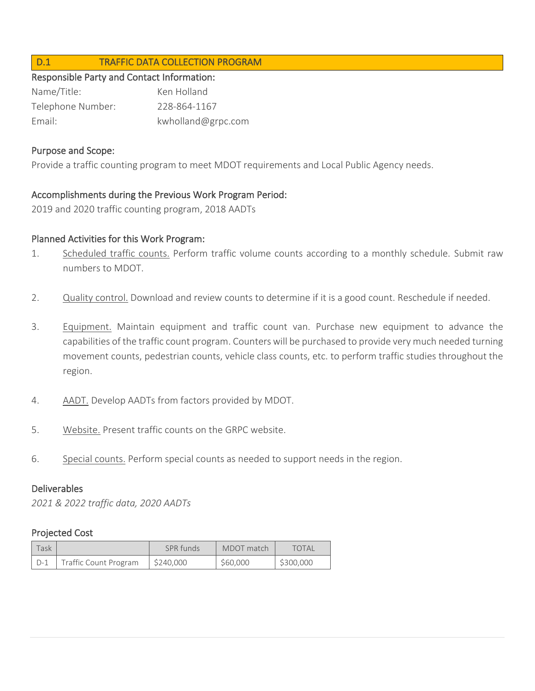### D.1 TRAFFIC DATA COLLECTION PROGRAM

#### Responsible Party and Contact Information:

| Name/Title:       | Ken Holland        |
|-------------------|--------------------|
| Telephone Number: | 228-864-1167       |
| Email:            | kwholland@grpc.com |

#### Purpose and Scope:

Provide a traffic counting program to meet MDOT requirements and Local Public Agency needs.

### Accomplishments during the Previous Work Program Period:

2019 and 2020 traffic counting program, 2018 AADTs

#### Planned Activities for this Work Program:

- 1. Scheduled traffic counts. Perform traffic volume counts according to a monthly schedule. Submit raw numbers to MDOT.
- 2. Quality control. Download and review counts to determine if it is a good count. Reschedule if needed.
- 3. Equipment. Maintain equipment and traffic count van. Purchase new equipment to advance the capabilities of the traffic count program. Counters will be purchased to provide very much needed turning movement counts, pedestrian counts, vehicle class counts, etc. to perform traffic studies throughout the region.
- 4. AADT. Develop AADTs from factors provided by MDOT.
- 5. Website. Present traffic counts on the GRPC website.
- 6. Special counts. Perform special counts as needed to support needs in the region.

#### Deliverables

*2021 & 2022 traffic data, 2020 AADTs*

| Task                |                       | SPR funds | MDOT match | <b>TOTAL</b> |  |
|---------------------|-----------------------|-----------|------------|--------------|--|
| $\cdot$ D-1 $\cdot$ | Traffic Count Program | \$240,000 | \$60,000   | \$300,000    |  |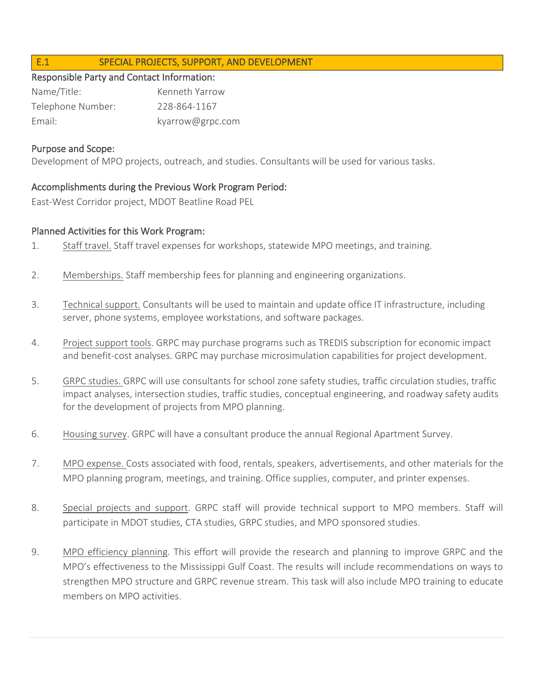## E.1 SPECIAL PROJECTS, SUPPORT, AND DEVELOPMENT

#### Responsible Party and Contact Information:

| Name/Title:       | Kenneth Yarrow   |
|-------------------|------------------|
| Telephone Number: | 228-864-1167     |
| Email:            | kyarrow@grpc.com |

#### Purpose and Scope:

Development of MPO projects, outreach, and studies. Consultants will be used for various tasks.

## Accomplishments during the Previous Work Program Period:

East-West Corridor project, MDOT Beatline Road PEL

### Planned Activities for this Work Program:

- 1. Staff travel. Staff travel expenses for workshops, statewide MPO meetings, and training.
- 2. Memberships. Staff membership fees for planning and engineering organizations.
- 3. Technical support. Consultants will be used to maintain and update office IT infrastructure, including server, phone systems, employee workstations, and software packages.
- 4. Project support tools. GRPC may purchase programs such as TREDIS subscription for economic impact and benefit-cost analyses. GRPC may purchase microsimulation capabilities for project development.
- 5. GRPC studies. GRPC will use consultants for school zone safety studies, traffic circulation studies, traffic impact analyses, intersection studies, traffic studies, conceptual engineering, and roadway safety audits for the development of projects from MPO planning.
- 6. Housing survey. GRPC will have a consultant produce the annual Regional Apartment Survey.
- 7. MPO expense. Costs associated with food, rentals, speakers, advertisements, and other materials for the MPO planning program, meetings, and training. Office supplies, computer, and printer expenses.
- 8. Special projects and support. GRPC staff will provide technical support to MPO members. Staff will participate in MDOT studies, CTA studies, GRPC studies, and MPO sponsored studies.
- 9. MPO efficiency planning. This effort will provide the research and planning to improve GRPC and the MPO's effectiveness to the Mississippi Gulf Coast. The results will include recommendations on ways to strengthen MPO structure and GRPC revenue stream. This task will also include MPO training to educate members on MPO activities.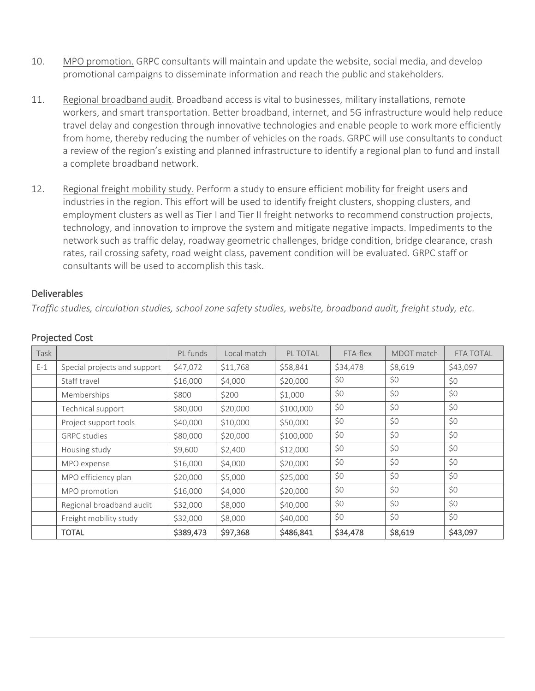- 10. MPO promotion. GRPC consultants will maintain and update the website, social media, and develop promotional campaigns to disseminate information and reach the public and stakeholders.
- 11. Regional broadband audit. Broadband access is vital to businesses, military installations, remote workers, and smart transportation. Better broadband, internet, and 5G infrastructure would help reduce travel delay and congestion through innovative technologies and enable people to work more efficiently from home, thereby reducing the number of vehicles on the roads. GRPC will use consultants to conduct a review of the region's existing and planned infrastructure to identify a regional plan to fund and install a complete broadband network.
- 12. Regional freight mobility study. Perform a study to ensure efficient mobility for freight users and industries in the region. This effort will be used to identify freight clusters, shopping clusters, and employment clusters as well as Tier I and Tier II freight networks to recommend construction projects, technology, and innovation to improve the system and mitigate negative impacts. Impediments to the network such as traffic delay, roadway geometric challenges, bridge condition, bridge clearance, crash rates, rail crossing safety, road weight class, pavement condition will be evaluated. GRPC staff or consultants will be used to accomplish this task.

### Deliverables

*Traffic studies, circulation studies, school zone safety studies, website, broadband audit, freight study, etc.*

| Task  |                              | PL funds  | Local match | PL TOTAL  | FTA-flex   | MDOT match | <b>FTA TOTAL</b> |  |     |
|-------|------------------------------|-----------|-------------|-----------|------------|------------|------------------|--|-----|
| $E-1$ | Special projects and support | \$47,072  | \$11,768    | \$58,841  | \$34,478   | \$8,619    | \$43,097         |  |     |
|       | Staff travel                 | \$16,000  | \$4,000     | \$20,000  | \$0<br>\$0 |            | \$0              |  |     |
|       | Memberships                  | \$800     | \$200       | \$1,000   | \$0        | \$0        | \$0              |  |     |
|       | Technical support            | \$80,000  | \$20,000    | \$100,000 | \$0        | \$0        | \$0              |  |     |
|       | Project support tools        | \$40,000  | \$10,000    | \$50,000  | \$0<br>\$0 |            |                  |  | \$0 |
|       | <b>GRPC</b> studies          | \$80,000  | \$20,000    | \$100,000 | \$0<br>\$0 |            | \$0              |  |     |
|       | Housing study                | \$9,600   | \$2,400     | \$12,000  | \$0        | \$0        | \$0              |  |     |
|       | MPO expense                  | \$16,000  | \$4,000     | \$20,000  | \$0        | \$0        | \$0              |  |     |
|       | MPO efficiency plan          | \$20,000  | \$5,000     | \$25,000  | \$0        | \$0        | \$0              |  |     |
|       | MPO promotion                | \$16,000  | \$4,000     | \$20,000  | \$0        | \$0        | \$0              |  |     |
|       | Regional broadband audit     | \$32,000  | \$8,000     | \$40,000  | \$0<br>\$0 |            | \$0              |  |     |
|       | Freight mobility study       | \$32,000  | \$8,000     | \$40,000  | \$0        | \$0        | \$0              |  |     |
|       | <b>TOTAL</b>                 | \$389,473 | \$97,368    | \$486,841 | \$34,478   | \$8,619    | \$43,097         |  |     |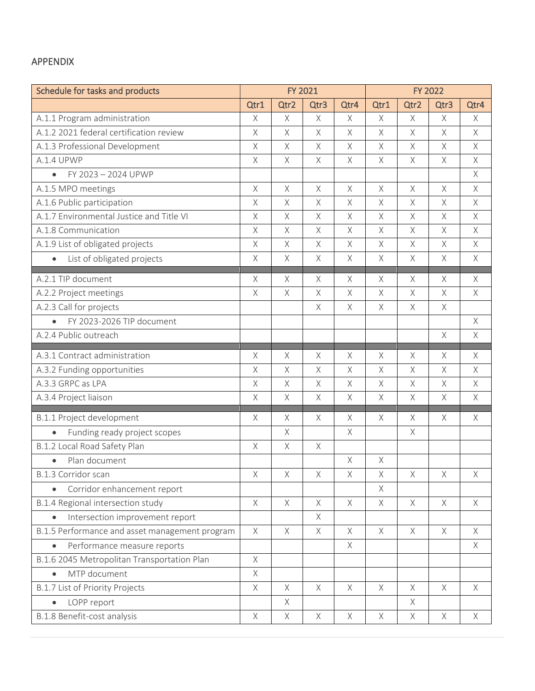## APPENDIX

| Schedule for tasks and products                |             | FY 2021     |             |             | <b>FY 2022</b> |             |             |             |
|------------------------------------------------|-------------|-------------|-------------|-------------|----------------|-------------|-------------|-------------|
|                                                | Qtr1        | Qtr2        | Qtr3        | Qtr4        | Qtr1           | Qtr2        | Qtr3        | Qtr4        |
| A.1.1 Program administration                   | $\mathsf X$ | $\times$    | $\chi$      | $\times$    | $\times$       | $\chi$      | $\chi$      | $\times$    |
| A.1.2 2021 federal certification review        | $\mathsf X$ | X           | $\mathsf X$ | $\times$    | $\times$       | $\times$    | $\times$    | X           |
| A.1.3 Professional Development                 | $\mathsf X$ | $\chi$      | $\mathsf X$ | $\chi$      | $\times$       | $\times$    | $\times$    | $\times$    |
| A.1.4 UPWP                                     | $\chi$      | $\times$    | $\chi$      | $\times$    | $\times$       | $\chi$      | $\chi$      | $\chi$      |
| FY 2023 - 2024 UPWP<br>$\bullet$               |             |             |             |             |                |             |             | $\times$    |
| A.1.5 MPO meetings                             | $\mathsf X$ | Χ           | $\mathsf X$ | $\mathsf X$ | $\mathsf X$    | $\mathsf X$ | $\times$    | X           |
| A.1.6 Public participation                     | $\chi$      | $\times$    | $\chi$      | $\times$    | $\times$       | $\mathsf X$ | $\mathsf X$ | $\times$    |
| A.1.7 Environmental Justice and Title VI       | $\mathsf X$ | Χ           | $\mathsf X$ | $\times$    | X              | $\times$    | $\times$    | X           |
| A.1.8 Communication                            | $\mathsf X$ | $\chi$      | $\mathsf X$ | $\chi$      | $\times$       | $\mathsf X$ | $\times$    | $\times$    |
| A.1.9 List of obligated projects               | $\mathsf X$ | $\chi$      | $\chi$      | $\chi$      | $\times$       | $\mathsf X$ | $\mathsf X$ | $\times$    |
| List of obligated projects<br>$\bullet$        | $\mathsf X$ | X           | $\mathsf X$ | $\times$    | $\times$       | $\times$    | $\times$    | $\times$    |
| A.2.1 TIP document                             | $\mathsf X$ | Χ           | Χ           | $\times$    | $\mathsf X$    | $\times$    | $\times$    | $\times$    |
| A.2.2 Project meetings                         | $\times$    | $\mathsf X$ | Χ           | $\times$    | $\times$       | $\mathsf X$ | X           | $\times$    |
| A.2.3 Call for projects                        |             |             | Χ           | $\chi$      | $\times$       | $\mathsf X$ | $\mathsf X$ |             |
| FY 2023-2026 TIP document<br>$\bullet$         |             |             |             |             |                |             |             | $\times$    |
| A.2.4 Public outreach                          |             |             |             |             |                |             | $\mathsf X$ | $\mathsf X$ |
|                                                |             |             |             |             |                |             |             |             |
| A.3.1 Contract administration                  | $\mathsf X$ | $\mathsf X$ | Χ           | $\mathsf X$ | $\mathsf X$    | $\mathsf X$ | X           | Χ           |
| A.3.2 Funding opportunities                    | $\times$    | $\times$    | $\chi$      | $\times$    | $\mathsf X$    | $\chi$      | $\chi$      | $\chi$      |
| A.3.3 GRPC as LPA                              | $\mathsf X$ | $\chi$      | $\mathsf X$ | $\chi$      | $\times$       | $\times$    | X           | $\mathsf X$ |
| A.3.4 Project liaison                          | $\mathsf X$ | $\mathsf X$ | $\mathsf X$ | $\mathsf X$ | $\mathsf X$    | $\mathsf X$ | $\times$    | $\times$    |
| B.1.1 Project development                      | Χ           | Χ           | Χ           | $\times$    | X              | $\times$    | $\times$    | $\times$    |
| Funding ready project scopes                   |             | $\chi$      |             | $\times$    |                | $\mathsf X$ |             |             |
| B.1.2 Local Road Safety Plan                   | $\mathsf X$ | $\chi$      | $\mathsf X$ |             |                |             |             |             |
| Plan document<br>$\bullet$                     |             |             |             | $\chi$      | $\times$       |             |             |             |
| B.1.3 Corridor scan                            | $\mathsf X$ | $\mathsf X$ | $\mathsf X$ | $\mathsf X$ | $\mathsf X$    | $\mathsf X$ | $\mathsf X$ | $\mathsf X$ |
| Corridor enhancement report<br>$\bullet$       |             |             |             |             | Χ              |             |             |             |
| B.1.4 Regional intersection study              | $\times$    | $\mathsf X$ | $\mathsf X$ | X           | Χ              | X           | X           | X           |
| Intersection improvement report                |             |             | $\chi$      |             |                |             |             |             |
| B.1.5 Performance and asset management program | $\times$    | $\times$    | $\times$    | $\times$    | $\times$       | $\times$    | $\times$    | $\times$    |
| Performance measure reports                    |             |             |             | $\times$    |                |             |             | X           |
| B.1.6 2045 Metropolitan Transportation Plan    | $\times$    |             |             |             |                |             |             |             |
| MTP document                                   | $\mathsf X$ |             |             |             |                |             |             |             |
| <b>B.1.7 List of Priority Projects</b>         | X           | X           | X           | X           | $\times$       | X           | X           | X           |
| LOPP report<br>$\bullet$                       |             | X           |             |             |                | $\mathsf X$ |             |             |
| B.1.8 Benefit-cost analysis                    | $\mathsf X$ | $\mathsf X$ | $\times$    | $\mathsf X$ | $\mathsf X$    | $\mathsf X$ | $\times$    | $\times$    |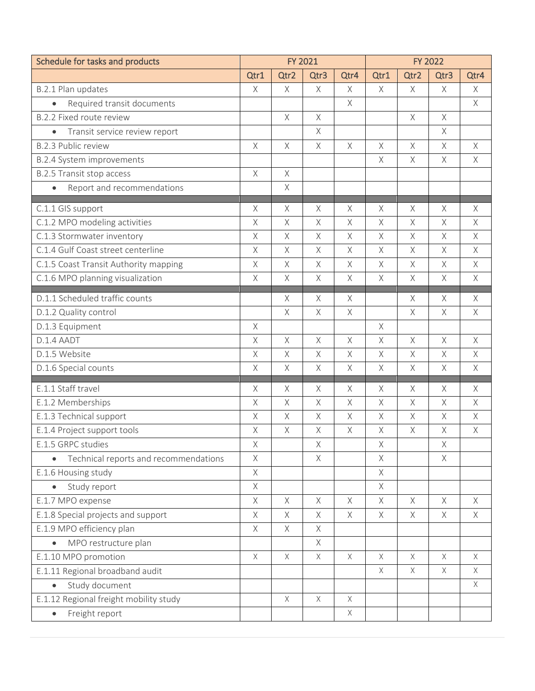| Schedule for tasks and products            | <b>FY 2021</b> |             |             |             | <b>FY 2022</b> |             |             |             |
|--------------------------------------------|----------------|-------------|-------------|-------------|----------------|-------------|-------------|-------------|
|                                            | Qtr1           | Qtr2        | Qtr3        | Qtr4        | Qtr1           | Qtr2        | Qtr3        | Qtr4        |
| B.2.1 Plan updates                         | $\times$       | X           | X           | $\times$    | $\times$       | $\times$    | $\times$    | X           |
| Required transit documents                 |                |             |             | $\mathsf X$ |                |             |             | X           |
| B.2.2 Fixed route review                   |                | $\chi$      | $\chi$      |             |                | $\mathsf X$ | $\times$    |             |
| Transit service review report<br>$\bullet$ |                |             | $\mathsf X$ |             |                |             | $\times$    |             |
| <b>B.2.3 Public review</b>                 | $\times$       | $\mathsf X$ | $\mathsf X$ | $\times$    | X              | $\times$    | X           | X           |
| B.2.4 System improvements                  |                |             |             |             | Χ              | $\times$    | $\times$    | X           |
| B.2.5 Transit stop access                  | $\times$       | $\mathsf X$ |             |             |                |             |             |             |
| Report and recommendations<br>$\bullet$    |                | $\chi$      |             |             |                |             |             |             |
| C.1.1 GIS support                          | $\mathsf X$    | $\mathsf X$ | $\mathsf X$ | Χ           | X              | Χ           | X           | Χ           |
| C.1.2 MPO modeling activities              | $\times$       | $\mathsf X$ | $\mathsf X$ | $\times$    | X              | $\mathsf X$ | $\times$    | X           |
| C.1.3 Stormwater inventory                 | $\mathsf X$    | $\chi$      | $\times$    | $\times$    | X              | $\times$    | $\times$    | X           |
| C.1.4 Gulf Coast street centerline         | $\mathsf X$    | $\chi$      | $\mathsf X$ | $\mathsf X$ | $\chi$         | $\times$    | $\chi$      | X           |
| C.1.5 Coast Transit Authority mapping      | $\times$       | $\chi$      | $\mathsf X$ | $\mathsf X$ | $\chi$         | $\times$    | $\times$    | $\times$    |
| C.1.6 MPO planning visualization           | $\times$       | Χ           | X           | Χ           | X              | $\times$    | X           | X           |
| D.1.1 Scheduled traffic counts             |                | $\mathsf X$ | $\times$    | $\times$    |                | $\times$    | X           | $\mathsf X$ |
| D.1.2 Quality control                      |                | $\chi$      | $\chi$      | $\mathsf X$ |                | $\mathsf X$ | $\times$    | $\times$    |
| D.1.3 Equipment                            | $\times$       |             |             |             | $\times$       |             |             |             |
| D.1.4 AADT                                 | $\times$       | $\times$    | $\times$    | $\times$    | X              | $\times$    | X           | X           |
| D.1.5 Website                              | $\times$       | Χ           | $\mathsf X$ | X           | Χ              | $\times$    | X           | X           |
| D.1.6 Special counts                       | $\times$       | $\chi$      | $\times$    | $\mathsf X$ | $\times$       | $\times$    | $\times$    | $\times$    |
| E.1.1 Staff travel                         | $\times$       | $\mathsf X$ | $\times$    | $\times$    | X              | $\times$    | X           | X           |
| E.1.2 Memberships                          | $\mathsf X$    | $\mathsf X$ | $\mathsf X$ | $\mathsf X$ | X              | $\times$    | $\mathsf X$ | X           |
| E.1.3 Technical support                    | $\times$       | $\chi$      | $\chi$      | $\times$    | $\times$       | $\times$    | $\times$    | $\times$    |
| E.1.4 Project support tools                | $\times$       | $\times$    | $\times$    | $\mathsf X$ | $\times$       | $\times$    | $\times$    | $\times$    |
| E.1.5 GRPC studies                         | Χ              |             | Χ           |             | Χ              |             | $\mathsf X$ |             |
| Technical reports and recommendations      | $\times$       |             | $\mathsf X$ |             | Χ              |             | $\times$    |             |
| E.1.6 Housing study                        | $\mathsf X$    |             |             |             | $\chi$         |             |             |             |
| Study report                               | $\mathsf X$    |             |             |             | X              |             |             |             |
| E.1.7 MPO expense                          | $\mathsf X$    | $\mathsf X$ | $\mathsf X$ | $\times$    | $\times$       | $\times$    | $\times$    | $\times$    |
| E.1.8 Special projects and support         | $\mathsf X$    | $\chi$      | $\times$    | $\mathsf X$ | $\times$       | $\times$    | $\times$    | $\times$    |
| E.1.9 MPO efficiency plan                  | $\times$       | X           | X           |             |                |             |             |             |
| MPO restructure plan                       |                |             | $\mathsf X$ |             |                |             |             |             |
| E.1.10 MPO promotion                       | $\times$       | $\mathsf X$ | $\times$    | $\times$    | X              | $\times$    | $\times$    | X           |
| E.1.11 Regional broadband audit            |                |             |             |             | $\mathsf X$    | $\times$    | $\times$    | X           |
| Study document                             |                |             |             |             |                |             |             | X           |
| E.1.12 Regional freight mobility study     |                | $\mathsf X$ | $\mathsf X$ | $\mathsf X$ |                |             |             |             |
| Freight report<br>$\bullet$                |                |             |             | X           |                |             |             |             |